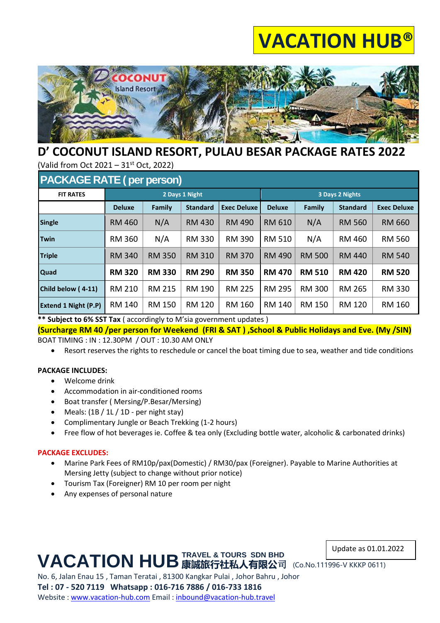## **VACATION HUB®**



## **D' COCONUT ISLAND RESORT, PULAU BESAR PACKAGE RATES 2022**

(Valid from Oct 2021 – 31st Oct, 2022)

| <b>PACKAGE RATE (per person)</b> |               |               |                 |                    |                 |               |                 |                    |  |  |  |  |
|----------------------------------|---------------|---------------|-----------------|--------------------|-----------------|---------------|-----------------|--------------------|--|--|--|--|
| <b>FIT RATES</b>                 |               |               | 2 Days 1 Night  |                    | 3 Days 2 Nights |               |                 |                    |  |  |  |  |
|                                  | <b>Deluxe</b> | Family        | <b>Standard</b> | <b>Exec Deluxe</b> | <b>Deluxe</b>   | Family        | <b>Standard</b> | <b>Exec Deluxe</b> |  |  |  |  |
| <b>Single</b>                    | <b>RM 460</b> | N/A           | <b>RM 430</b>   | RM 490             | RM 610          | N/A           | <b>RM 560</b>   | <b>RM 660</b>      |  |  |  |  |
| <b>Twin</b>                      | <b>RM 360</b> | N/A           | <b>RM 330</b>   | <b>RM 390</b>      | <b>RM 510</b>   | N/A           | RM 460          | <b>RM 560</b>      |  |  |  |  |
| <b>Triple</b>                    | <b>RM 340</b> | <b>RM 350</b> | <b>RM 310</b>   | <b>RM 370</b>      | <b>RM 490</b>   | <b>RM 500</b> | <b>RM 440</b>   | <b>RM 540</b>      |  |  |  |  |
| <b>Quad</b>                      | <b>RM 320</b> | <b>RM 330</b> | <b>RM 290</b>   | <b>RM 350</b>      | <b>RM 470</b>   | <b>RM 510</b> | <b>RM 420</b>   | <b>RM 520</b>      |  |  |  |  |
| Child below (4-11)               | <b>RM 210</b> | <b>RM 215</b> | RM 190          | <b>RM 225</b>      | <b>RM 295</b>   | <b>RM 300</b> | <b>RM 265</b>   | <b>RM 330</b>      |  |  |  |  |
| <b>Extend 1 Night (P.P)</b>      | RM 140        | RM 150        | <b>RM 120</b>   | RM 160             | RM 140          | RM 150        | <b>RM 120</b>   | RM 160             |  |  |  |  |

**\*\* Subject to 6% SST Tax** ( accordingly to M'sia government updates )

**(Surcharge RM 40 /per person for Weekend (FRI & SAT ) ,School & Public Holidays and Eve. (My /SIN)** BOAT TIMING : IN : 12.30PM / OUT : 10.30 AM ONLY

• Resort reserves the rights to reschedule or cancel the boat timing due to sea, weather and tide conditions

#### **PACKAGE INCLUDES:**

- Welcome drink
- Accommodation in air-conditioned rooms
- Boat transfer ( Mersing/P.Besar/Mersing)
- Meals:  $(1B / 1L / 1D per night stay)$
- Complimentary Jungle or Beach Trekking (1-2 hours)
- Free flow of hot beverages ie. Coffee & tea only (Excluding bottle water, alcoholic & carbonated drinks)

#### **PACKAGE EXCLUDES:**

- Marine Park Fees of RM10p/pax(Domestic) / RM30/pax (Foreigner). Payable to Marine Authorities at Mersing Jetty (subject to change without prior notice)
- Tourism Tax (Foreigner) RM 10 per room per night
- Any expenses of personal nature

#### Update as 01.01.2022

**VACATION HUB** 康誠旅行社私人有限公司 (Co.No.111996-V KKKP 0611) **TRAVEL & TOURS SDN BHD**

No. 6, Jalan Enau 15 , Taman Teratai , 81300 Kangkar Pulai , Johor Bahru , Johor **Tel : 07 - 520 7119 Whatsapp : 016-716 7886 / 016-733 1816** Website : [www.vacation-hub.com](http://www.vacation-hub.com/) Email : [inbound@vacation-hub.travel](mailto:inbound@vacation-hub.travel)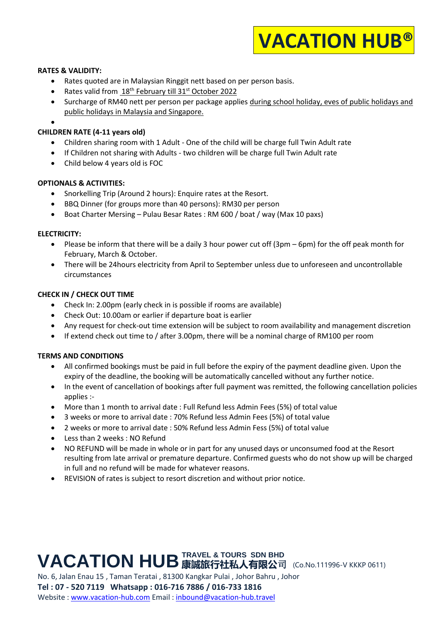# **VACATION HUB®**

#### **RATES & VALIDITY:**

- Rates quoted are in Malaysian Ringgit nett based on per person basis.
- Rates valid from 18<sup>th</sup> February till 31<sup>st</sup> October 2022
- Surcharge of RM40 nett per person per package applies during school holiday, eves of public holidays and public holidays in Malaysia and Singapore.
- •

#### **CHILDREN RATE (4-11 years old)**

- Children sharing room with 1 Adult One of the child will be charge full Twin Adult rate
- If Children not sharing with Adults two children will be charge full Twin Adult rate
- Child below 4 years old is FOC

#### **OPTIONALS & ACTIVITIES:**

- Snorkelling Trip (Around 2 hours): Enquire rates at the Resort.
- BBQ Dinner (for groups more than 40 persons): RM30 per person
- Boat Charter Mersing Pulau Besar Rates : RM 600 / boat / way (Max 10 paxs)

#### **ELECTRICITY:**

- Please be inform that there will be a daily 3 hour power cut off (3pm 6pm) for the off peak month for February, March & October.
- There will be 24hours electricity from April to September unless due to unforeseen and uncontrollable circumstances

#### **CHECK IN / CHECK OUT TIME**

- Check In: 2.00pm (early check in is possible if rooms are available)
- Check Out: 10.00am or earlier if departure boat is earlier
- Any request for check-out time extension will be subject to room availability and management discretion
- If extend check out time to / after 3.00pm, there will be a nominal charge of RM100 per room

#### **TERMS AND CONDITIONS**

- All confirmed bookings must be paid in full before the expiry of the payment deadline given. Upon the expiry of the deadline, the booking will be automatically cancelled without any further notice.
- In the event of cancellation of bookings after full payment was remitted, the following cancellation policies applies :-
- More than 1 month to arrival date : Full Refund less Admin Fees (5%) of total value
- 3 weeks or more to arrival date : 70% Refund less Admin Fees (5%) of total value
- 2 weeks or more to arrival date : 50% Refund less Admin Fess (5%) of total value
- Less than 2 weeks : NO Refund
- NO REFUND will be made in whole or in part for any unused days or unconsumed food at the Resort resulting from late arrival or premature departure. Confirmed guests who do not show up will be charged in full and no refund will be made for whatever reasons.
- REVISION of rates is subject to resort discretion and without prior notice.

### **VACATION HUB 康誠旅行社私人有限公司 (Co.No.111996-V KKKP 0611) TRAVEL & TOURS SDN BHD**

No. 6, Jalan Enau 15 , Taman Teratai , 81300 Kangkar Pulai , Johor Bahru , Johor **Tel : 07 - 520 7119 Whatsapp : 016-716 7886 / 016-733 1816** Website : [www.vacation-hub.com](http://www.vacation-hub.com/) Email : [inbound@vacation-hub.travel](mailto:inbound@vacation-hub.travel)